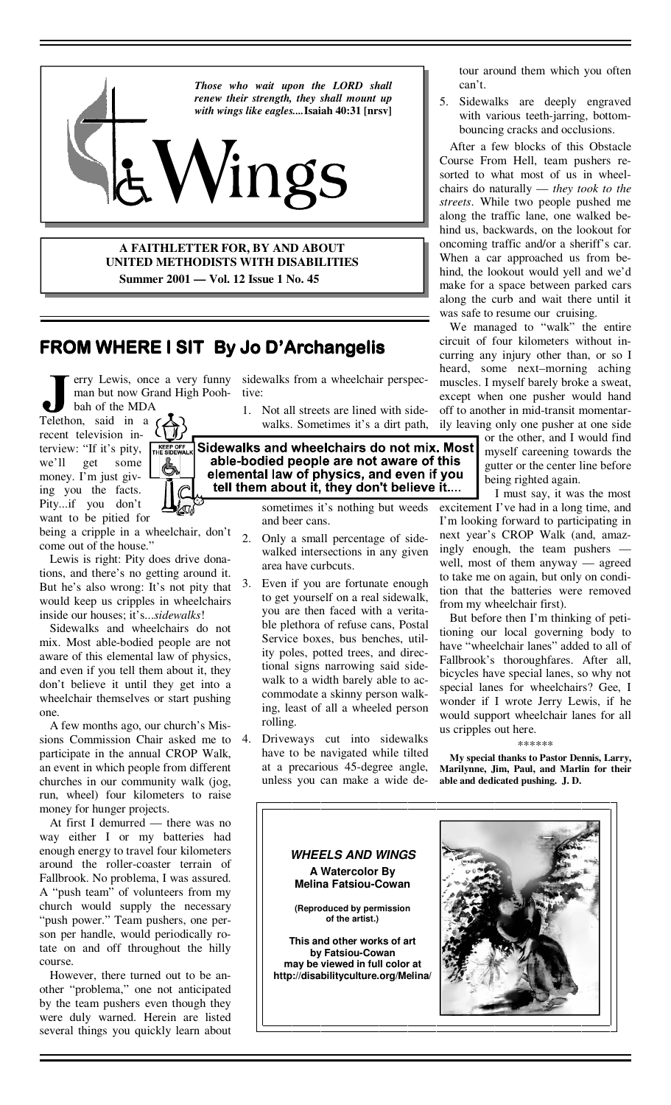

**A FAITHLETTER FOR, BY AND ABOUT UNITED METHODISTS WITH DISABILITIES Summer 2001 — Vol. 12 Issue 1 No. 45** 

## **FROM WHERE I SIT FROM WHERE I SIT By Jo D'Archangelis D'Archangelis D'Archangelis**

man but now Grand High Poohbah of the MDA

Telethon, said in a recent television interview: "If it's pity, we'll get some money. I'm just giving you the facts. Pity...if you don't want to be pitied for

being a cripple in a wheelchair, don't come out of the house."

 Lewis is right: Pity does drive donations, and there's no getting around it. But he's also wrong: It's not pity that would keep us cripples in wheelchairs inside our houses; it's...*sidewalks*!

 Sidewalks and wheelchairs do not mix. Most able-bodied people are not aware of this elemental law of physics, and even if you tell them about it, they don't believe it until they get into a wheelchair themselves or start pushing one.

 A few months ago, our church's Missions Commission Chair asked me to participate in the annual CROP Walk, an event in which people from different churches in our community walk (jog, run, wheel) four kilometers to raise money for hunger projects.

 At first I demurred — there was no way either I or my batteries had enough energy to travel four kilometers around the roller-coaster terrain of Fallbrook. No problema, I was assured. A "push team" of volunteers from my church would supply the necessary "push power." Team pushers, one person per handle, would periodically rotate on and off throughout the hilly course.

 However, there turned out to be another "problema," one not anticipated by the team pushers even though they were duly warned. Herein are listed several things you quickly learn about

erry Lewis, once a very funny sidewalks from a wheelchair perspective:

> 1. Not all streets are lined with sidewalks. Sometimes it's a dirt path,

Sidewalks and wheelchairs do not mix. Most able-bodied people are not aware of this elemental law of physics, and even if you tell them about it, they don't believe it....

> sometimes it's nothing but weeds and beer cans.

- 2. Only a small percentage of sidewalked intersections in any given area have curbcuts.
- 3. Even if you are fortunate enough to get yourself on a real sidewalk, you are then faced with a veritable plethora of refuse cans, Postal Service boxes, bus benches, utility poles, potted trees, and directional signs narrowing said sidewalk to a width barely able to accommodate a skinny person walking, least of all a wheeled person rolling.
- 4. Driveways cut into sidewalks have to be navigated while tilted at a precarious 45-degree angle, unless you can make a wide de-

tour around them which you often can't.

5. Sidewalks are deeply engraved with various teeth-jarring, bottombouncing cracks and occlusions.

 After a few blocks of this Obstacle Course From Hell, team pushers resorted to what most of us in wheelchairs do naturally — *they took to the streets*. While two people pushed me along the traffic lane, one walked behind us, backwards, on the lookout for oncoming traffic and/or a sheriff's car. When a car approached us from behind, the lookout would yell and we'd make for a space between parked cars along the curb and wait there until it was safe to resume our cruising.

 We managed to "walk" the entire circuit of four kilometers without incurring any injury other than, or so I heard, some next–morning aching muscles. I myself barely broke a sweat, except when one pusher would hand off to another in mid-transit momentarily leaving only one pusher at one side

> or the other, and I would find myself careening towards the gutter or the center line before being righted again.

 I must say, it was the most excitement I've had in a long time, and I'm looking forward to participating in next year's CROP Walk (and, amazingly enough, the team pushers well, most of them anyway — agreed to take me on again, but only on condition that the batteries were removed from my wheelchair first).

 But before then I'm thinking of petitioning our local governing body to have "wheelchair lanes" added to all of Fallbrook's thoroughfares. After all, bicycles have special lanes, so why not special lanes for wheelchairs? Gee, I wonder if I wrote Jerry Lewis, if he would support wheelchair lanes for all us cripples out here.

#### \*\*\*\*\*\*

 **My special thanks to Pastor Dennis, Larry, Marilynne, Jim, Paul, and Marlin for their able and dedicated pushing. J. D.** 

**WHEELS AND WINGS** 

**A Watercolor By Melina Fatsiou-Cowan** 

**(Reproduced by permission of the artist.)** 

**This and other works of art by Fatsiou-Cowan may be viewed in full color at http://disabilityculture.org/Melina/** 

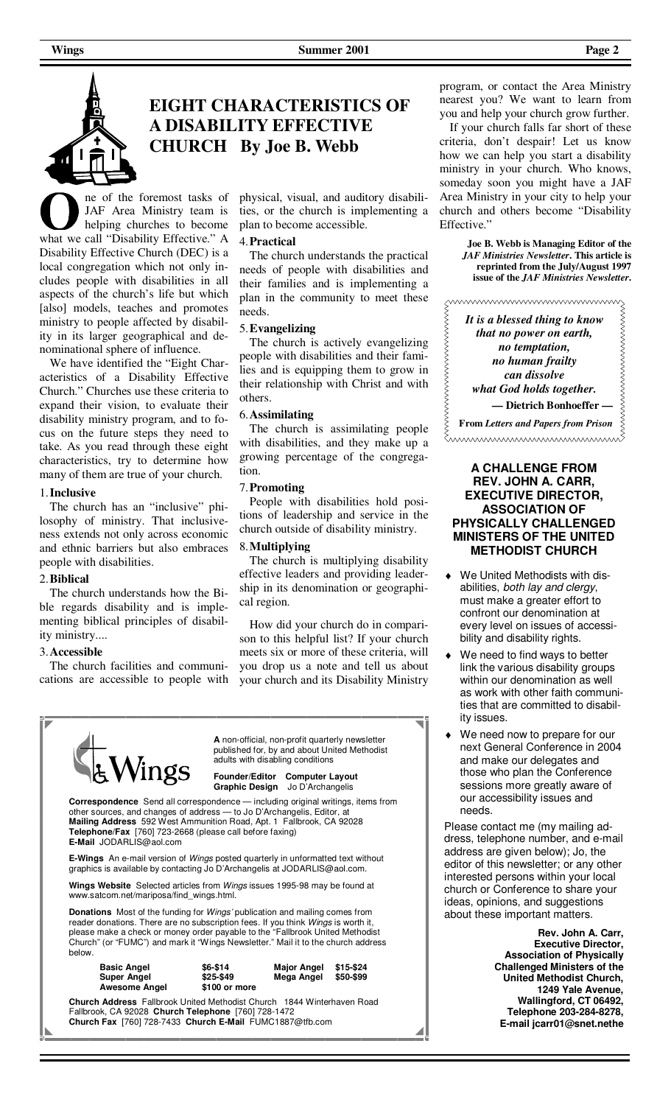

**EIGHT CHARACTERISTICS OF A DISABILITY EFFECTIVE CHURCH By Joe B. Webb** 

ne of the foremost tasks of JAF Area Ministry team is helping churches to become what we call "Disability Effective." A Disability Effective Church (DEC) is a local congregation which not only includes people with disabilities in all aspects of the church's life but which [also] models, teaches and promotes ministry to people affected by disability in its larger geographical and denominational sphere of influence.

 We have identified the "Eight Characteristics of a Disability Effective Church." Churches use these criteria to expand their vision, to evaluate their disability ministry program, and to focus on the future steps they need to take. As you read through these eight characteristics, try to determine how many of them are true of your church.

### 1. **Inclusive**

 The church has an "inclusive" philosophy of ministry. That inclusiveness extends not only across economic and ethnic barriers but also embraces people with disabilities.

### 2. **Biblical**

 The church understands how the Bible regards disability and is implementing biblical principles of disability ministry....

#### 3. **Accessible**

 The church facilities and communications are accessible to people with

physical, visual, and auditory disabilities, or the church is implementing a plan to become accessible.

### 4. **Practical**

 The church understands the practical needs of people with disabilities and their families and is implementing a plan in the community to meet these needs.

### 5. **Evangelizing**

 The church is actively evangelizing people with disabilities and their families and is equipping them to grow in their relationship with Christ and with others.

### 6. **Assimilating**

 The church is assimilating people with disabilities, and they make up a growing percentage of the congregation.

## 7. **Promoting**

 People with disabilities hold positions of leadership and service in the church outside of disability ministry.

## 8. **Multiplying**

 The church is multiplying disability effective leaders and providing leadership in its denomination or geographical region.

 How did your church do in comparison to this helpful list? If your church meets six or more of these criteria, will you drop us a note and tell us about your church and its Disability Ministry



Fallbrook, CA 92028 **Church Telephone** [760] 728-1472 **Church Fax** [760] 728-7433 **Church E-Mail** FUMC1887@tfb.com program, or contact the Area Ministry nearest you? We want to learn from you and help your church grow further.

 If your church falls far short of these criteria, don't despair! Let us know how we can help you start a disability ministry in your church. Who knows, someday soon you might have a JAF Area Ministry in your city to help your church and others become "Disability Effective."

> **Joe B. Webb is Managing Editor of the**  *JAF Ministries Newsletter***. This article is reprinted from the July/August 1997 issue of the** *JAF Ministries Newsletter***.**



## Eummunnunnunnunnun

## **A CHALLENGE FROM REV. JOHN A. CARR, EXECUTIVE DIRECTOR, ASSOCIATION OF PHYSICALLY CHALLENGED MINISTERS OF THE UNITED METHODIST CHURCH**

- We United Methodists with disabilities, both lay and clergy, must make a greater effort to confront our denomination at every level on issues of accessibility and disability rights.
- We need to find ways to better link the various disability groups within our denomination as well as work with other faith communities that are committed to disability issues.
- We need now to prepare for our next General Conference in 2004 and make our delegates and those who plan the Conference sessions more greatly aware of our accessibility issues and needs.

Please contact me (my mailing address, telephone number, and e-mail address are given below); Jo, the editor of this newsletter; or any other interested persons within your local church or Conference to share your ideas, opinions, and suggestions about these important matters.

> **Rev. John A. Carr, Executive Director, Association of Physically Challenged Ministers of the United Methodist Church, 1249 Yale Avenue, Wallingford, CT 06492, Telephone 203-284-8278, E-mail jcarr01@snet.nethe**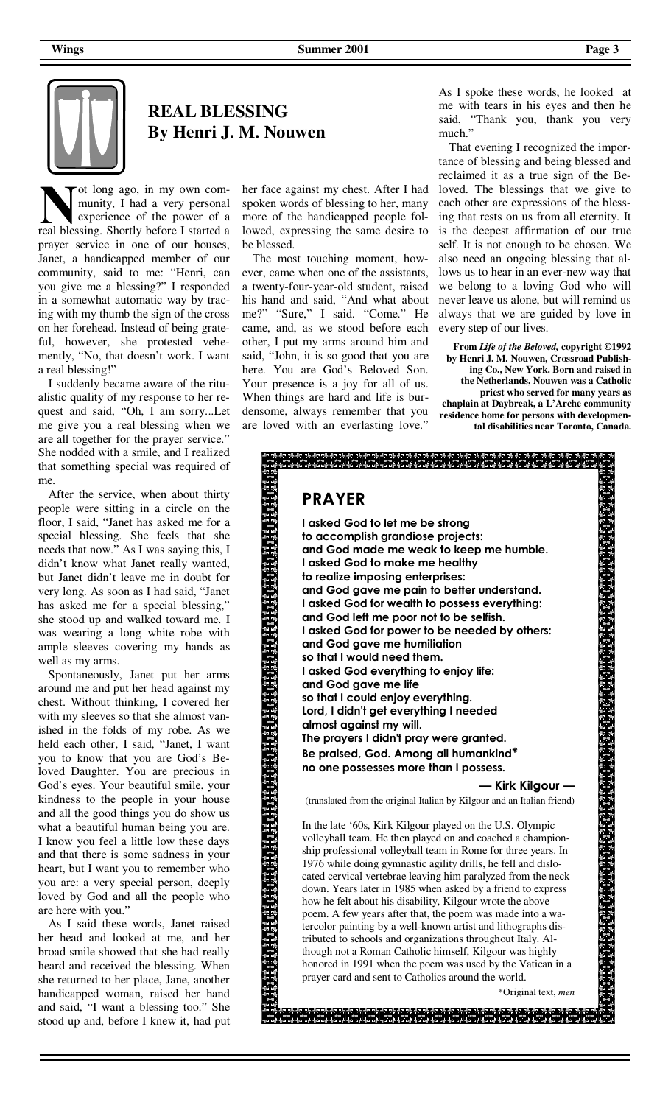

# **REAL BLESSING By Henri J. M. Nouwen**

ot long ago, in my own community, I had a very personal experience of the power of a real blessing. Shortly before I started a prayer service in one of our houses, Janet, a handicapped member of our community, said to me: "Henri, can you give me a blessing?" I responded in a somewhat automatic way by tracing with my thumb the sign of the cross on her forehead. Instead of being grateful, however, she protested vehemently, "No, that doesn't work. I want a real blessing!"

 I suddenly became aware of the ritualistic quality of my response to her request and said, "Oh, I am sorry...Let me give you a real blessing when we are all together for the prayer service." She nodded with a smile, and I realized that something special was required of me.

 After the service, when about thirty people were sitting in a circle on the floor, I said, "Janet has asked me for a special blessing. She feels that she needs that now." As I was saying this, I didn't know what Janet really wanted, but Janet didn't leave me in doubt for very long. As soon as I had said, "Janet has asked me for a special blessing," she stood up and walked toward me. I was wearing a long white robe with ample sleeves covering my hands as well as my arms.

 Spontaneously, Janet put her arms around me and put her head against my chest. Without thinking, I covered her with my sleeves so that she almost vanished in the folds of my robe. As we held each other, I said, "Janet, I want you to know that you are God's Beloved Daughter. You are precious in God's eyes. Your beautiful smile, your kindness to the people in your house and all the good things you do show us what a beautiful human being you are. I know you feel a little low these days and that there is some sadness in your heart, but I want you to remember who you are: a very special person, deeply loved by God and all the people who are here with you."

 As I said these words, Janet raised her head and looked at me, and her broad smile showed that she had really heard and received the blessing. When she returned to her place, Jane, another handicapped woman, raised her hand and said, "I want a blessing too." She stood up and, before I knew it, had put her face against my chest. After I had spoken words of blessing to her, many more of the handicapped people followed, expressing the same desire to be blessed.

 The most touching moment, however, came when one of the assistants, a twenty-four-year-old student, raised his hand and said, "And what about me?" "Sure," I said. "Come." He came, and, as we stood before each other, I put my arms around him and said, "John, it is so good that you are here. You are God's Beloved Son. Your presence is a joy for all of us. When things are hard and life is burdensome, always remember that you are loved with an everlasting love."

**THEFT** 

As I spoke these words, he looked at me with tears in his eyes and then he said, "Thank you, thank you very much."

 That evening I recognized the importance of blessing and being blessed and reclaimed it as a true sign of the Beloved. The blessings that we give to each other are expressions of the blessing that rests on us from all eternity. It is the deepest affirmation of our true self. It is not enough to be chosen. We also need an ongoing blessing that allows us to hear in an ever-new way that we belong to a loving God who will never leave us alone, but will remind us always that we are guided by love in every step of our lives.

**From** *Life of the Beloved,* **copyright ©1992** **by Henri J. M. Nouwen, Crossroad Publishing Co., New York. Born and raised in the Netherlands, Nouwen was a Catholic priest who served for many years as chaplain at Daybreak, a L'Arche community residence home for persons with developmental disabilities near Toronto, Canada.** 

| <b>PRAYER</b>              |                                                                                                                                |
|----------------------------|--------------------------------------------------------------------------------------------------------------------------------|
|                            | I asked God to let me be strong                                                                                                |
|                            | to accomplish grandiose projects:                                                                                              |
|                            | and God made me weak to keep me humble.                                                                                        |
|                            | I asked God to make me healthy<br>to realize imposing enterprises:                                                             |
|                            | and God gave me pain to better understand.                                                                                     |
|                            | I asked God for wealth to possess everything:                                                                                  |
|                            | and God left me poor not to be selfish.                                                                                        |
|                            | I asked God for power to be needed by others:                                                                                  |
|                            | and God gave me humiliation                                                                                                    |
| so that I would need them. |                                                                                                                                |
| and God gave me life       | I asked God everything to enjoy life:                                                                                          |
|                            | so that I could enjoy everything.                                                                                              |
|                            | Lord, I didn't get everything I needed                                                                                         |
| almost against my will.    |                                                                                                                                |
|                            | The prayers I didn't pray were granted.                                                                                        |
|                            | Be praised, God. Among all humankind*                                                                                          |
|                            | no one possesses more than I possess.                                                                                          |
|                            | - Kirk Kilgour                                                                                                                 |
|                            | (translated from the original Italian by Kilgour and an Italian friend)                                                        |
|                            | In the late '60s, Kirk Kilgour played on the U.S. Olympic                                                                      |
|                            | volleyball team. He then played on and coached a champion-                                                                     |
|                            | ship professional volleyball team in Rome for three years. In<br>1976 while doing gymnastic agility drills, he fell and dislo- |
|                            | cated cervical vertebrae leaving him paralyzed from the neck                                                                   |
|                            | down. Years later in 1985 when asked by a friend to express                                                                    |
|                            | how he felt about his disability, Kilgour wrote the above                                                                      |
|                            | poem. A few years after that, the poem was made into a wa-                                                                     |
|                            | tercolor painting by a well-known artist and lithographs dis-<br>tributed to schools and organizations throughout Italy. Al-   |
|                            | though not a Roman Catholic himself, Kilgour was highly                                                                        |
|                            | honored in 1991 when the poem was used by the Vatican in a                                                                     |
|                            |                                                                                                                                |
|                            | prayer card and sent to Catholics around the world.                                                                            |
|                            | *Original text, <i>men</i>                                                                                                     |